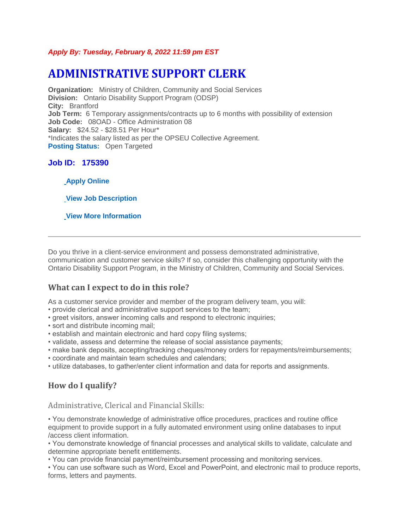#### *Apply By: Tuesday, February 8, 2022 11:59 pm EST*

# **ADMINISTRATIVE SUPPORT CLERK**

**Organization:** Ministry of Children, Community and Social Services **Division:** Ontario Disability Support Program (ODSP) **City:** Brantford **Job Term:** 6 Temporary assignments/contracts up to 6 months with possibility of extension **Job Code:** 08OAD - Office Administration 08 **Salary:** \$24.52 - \$28.51 Per Hour\* \*Indicates the salary listed as per the OPSEU Collective Agreement. **[Posting Status:](https://www.gojobs.gov.on.ca/Pages/JobAdDefinitions.aspx) Open Targeted** 

## **Job ID: 175390**

**[Apply Online](https://www.gojobs.gov.on.ca/Apply.aspx?Language=English&JobID=175390)**

**[View Job Description](https://intra.ejobs.careers.gov.on.ca/PDR.aspx?Language=English&JobID=175390)**

**[View More Information](https://intra.ejobs.careers.gov.on.ca/MoreInfo.aspx?Language=English&JobID=175390)**

Do you thrive in a client-service environment and possess demonstrated administrative, communication and customer service skills? If so, consider this challenging opportunity with the Ontario Disability Support Program, in the Ministry of Children, Community and Social Services.

## **What can I expect to do in this role?**

As a customer service provider and member of the program delivery team, you will:

- provide clerical and administrative support services to the team;
- greet visitors, answer incoming calls and respond to electronic inquiries;
- sort and distribute incoming mail;
- establish and maintain electronic and hard copy filing systems;
- validate, assess and determine the release of social assistance payments;
- make bank deposits, accepting/tracking cheques/money orders for repayments/reimbursements;
- coordinate and maintain team schedules and calendars;
- utilize databases, to gather/enter client information and data for reports and assignments.

# **How do I qualify?**

Administrative, Clerical and Financial Skills:

• You demonstrate knowledge of administrative office procedures, practices and routine office equipment to provide support in a fully automated environment using online databases to input /access client information.

• You demonstrate knowledge of financial processes and analytical skills to validate, calculate and determine appropriate benefit entitlements.

• You can provide financial payment/reimbursement processing and monitoring services.

• You can use software such as Word, Excel and PowerPoint, and electronic mail to produce reports, forms, letters and payments.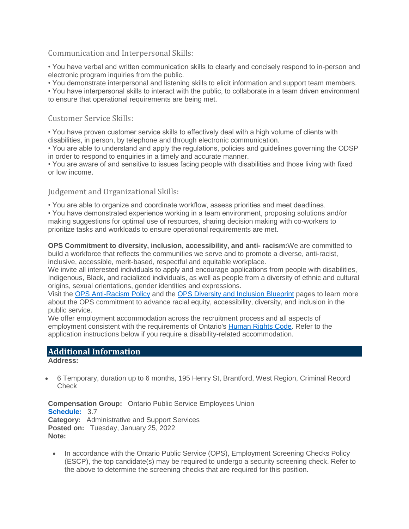#### Communication and Interpersonal Skills:

• You have verbal and written communication skills to clearly and concisely respond to in-person and electronic program inquiries from the public.

• You demonstrate interpersonal and listening skills to elicit information and support team members.

• You have interpersonal skills to interact with the public, to collaborate in a team driven environment to ensure that operational requirements are being met.

#### Customer Service Skills:

• You have proven customer service skills to effectively deal with a high volume of clients with disabilities, in person, by telephone and through electronic communication.

• You are able to understand and apply the regulations, policies and guidelines governing the ODSP in order to respond to enquiries in a timely and accurate manner.

• You are aware of and sensitive to issues facing people with disabilities and those living with fixed or low income.

## Judgement and Organizational Skills:

• You are able to organize and coordinate workflow, assess priorities and meet deadlines.

• You have demonstrated experience working in a team environment, proposing solutions and/or making suggestions for optimal use of resources, sharing decision making with co-workers to prioritize tasks and workloads to ensure operational requirements are met.

**OPS Commitment to diversity, inclusion, accessibility, and anti- racism:**We are committed to build a workforce that reflects the communities we serve and to promote a diverse, anti-racist, inclusive, accessible, merit-based, respectful and equitable workplace.

We invite all interested individuals to apply and encourage applications from people with disabilities, Indigenous, Black, and racialized individuals, as well as people from a diversity of ethnic and cultural origins, sexual orientations, gender identities and expressions.

Visit the [OPS Anti-Racism Policy](https://www.ontario.ca/page/ontario-public-service-anti-racism-policy) and the [OPS Diversity and Inclusion Blueprint](https://www.ontario.ca/page/ops-inclusion-diversity-blueprint) pages to learn more about the OPS commitment to advance racial equity, accessibility, diversity, and inclusion in the public service.

We offer employment accommodation across the recruitment process and all aspects of employment consistent with the requirements of Ontario's [Human Rights Code.](http://www.ohrc.on.ca/en/ontario-human-rights-code) Refer to the application instructions below if you require a disability-related accommodation.

## **Additional Information**

**Address:**

 6 Temporary, duration up to 6 months, 195 Henry St, Brantford, West Region, Criminal Record **Check** 

**Compensation Group:** Ontario Public Service Employees Union **[Schedule:](https://www.gojobs.gov.on.ca/Pages/JobAdDefinitions.aspx)** 3.7 **Category:** Administrative and Support Services **Posted on:** Tuesday, January 25, 2022 **Note:**

 In accordance with the Ontario Public Service (OPS), Employment Screening Checks Policy (ESCP), the top candidate(s) may be required to undergo a security screening check. Refer to the above to determine the screening checks that are required for this position.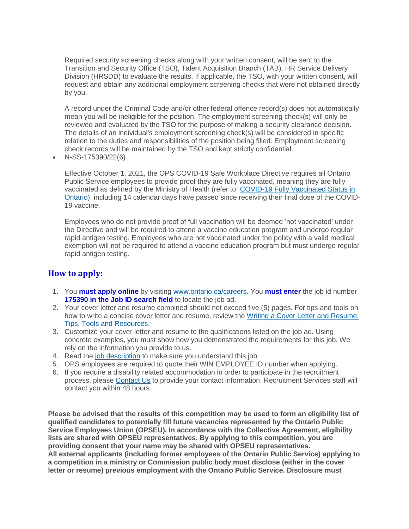Required security screening checks along with your written consent, will be sent to the Transition and Security Office (TSO), Talent Acquisition Branch (TAB), HR Service Delivery Division (HRSDD) to evaluate the results. If applicable, the TSO, with your written consent, will request and obtain any additional employment screening checks that were not obtained directly by you.

A record under the Criminal Code and/or other federal offence record(s) does not automatically mean you will be ineligible for the position. The employment screening check(s) will only be reviewed and evaluated by the TSO for the purpose of making a security clearance decision. The details of an individual's employment screening check(s) will be considered in specific relation to the duties and responsibilities of the position being filled. Employment screening check records will be maintained by the TSO and kept strictly confidential.

N-SS-175390/22(6)

Effective October 1, 2021, the OPS COVID-19 Safe Workplace Directive requires all Ontario Public Service employees to provide proof they are fully vaccinated, meaning they are fully vaccinated as defined by the Ministry of Health (refer to: [COVID-19 Fully Vaccinated Status in](https://health.gov.on.ca/en/pro/programs/publichealth/coronavirus/docs/vaccine/COVID-19_fully_vaccinated_status_ontario.pdf)  [Ontario\)](https://health.gov.on.ca/en/pro/programs/publichealth/coronavirus/docs/vaccine/COVID-19_fully_vaccinated_status_ontario.pdf), including 14 calendar days have passed since receiving their final dose of the COVID-19 vaccine.

Employees who do not provide proof of full vaccination will be deemed 'not vaccinated' under the Directive and will be required to attend a vaccine education program and undergo regular rapid antigen testing. Employees who are not vaccinated under the policy with a valid medical exemption will not be required to attend a vaccine education program but must undergo regular rapid antigen testing.

## **How to apply:**

- 1. You **must apply online** by visiting [www.ontario.ca/careers.](http://www.ontario.ca/careers) You **must enter** the job id number **175390 in the Job ID search field** to locate the job ad.
- 2. Your cover letter and resume combined should not exceed five (5) pages. For tips and tools on how to write a concise cover letter and resume, review the [Writing a Cover Letter and Resume:](https://www.gojobs.gov.on.ca/Docs/OPSCoverLetterandResumeWritingGuide.pdf)  [Tips, Tools and Resources.](https://www.gojobs.gov.on.ca/Docs/OPSCoverLetterandResumeWritingGuide.pdf)
- 3. Customize your cover letter and resume to the qualifications listed on the job ad. Using concrete examples, you must show how you demonstrated the requirements for this job. We rely on the information you provide to us.
- 4. Read the [job description](https://intra.ejobs.careers.gov.on.ca/PDR.aspx?Language=English&JobID=175390) to make sure you understand this job.
- 5. OPS employees are required to quote their WIN EMPLOYEE ID number when applying.
- 6. If you require a disability related accommodation in order to participate in the recruitment process, please [Contact Us](https://www.gojobs.gov.on.ca/ContactUs.aspx) to provide your contact information. Recruitment Services staff will contact you within 48 hours.

**Please be advised that the results of this competition may be used to form an eligibility list of qualified candidates to potentially fill future vacancies represented by the Ontario Public Service Employees Union (OPSEU). In accordance with the Collective Agreement, eligibility lists are shared with OPSEU representatives. By applying to this competition, you are providing consent that your name may be shared with OPSEU representatives. All external applicants (including former employees of the Ontario Public Service) applying to a competition in a ministry or Commission public body must disclose (either in the cover letter or resume) previous employment with the Ontario Public Service. Disclosure must**